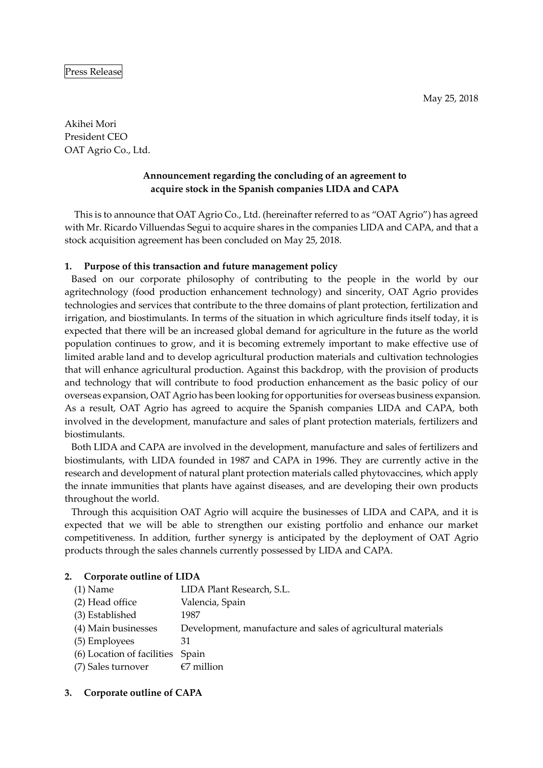Akihei Mori President CEO OAT Agrio Co., Ltd.

# **Announcement regarding the concluding of an agreement to acquire stock in the Spanish companies LIDA and CAPA**

This is to announce that OAT Agrio Co., Ltd. (hereinafter referred to as "OAT Agrio") has agreed with Mr. Ricardo Villuendas Segui to acquire shares in the companies LIDA and CAPA, and that a stock acquisition agreement has been concluded on May 25, 2018.

### **1. Purpose of this transaction and future management policy**

Based on our corporate philosophy of contributing to the people in the world by our agritechnology (food production enhancement technology) and sincerity, OAT Agrio provides technologies and services that contribute to the three domains of plant protection, fertilization and irrigation, and biostimulants. In terms of the situation in which agriculture finds itself today, it is expected that there will be an increased global demand for agriculture in the future as the world population continues to grow, and it is becoming extremely important to make effective use of limited arable land and to develop agricultural production materials and cultivation technologies that will enhance agricultural production. Against this backdrop, with the provision of products and technology that will contribute to food production enhancement as the basic policy of our overseas expansion, OAT Agrio has been looking for opportunities for overseas business expansion. As a result, OAT Agrio has agreed to acquire the Spanish companies LIDA and CAPA, both involved in the development, manufacture and sales of plant protection materials, fertilizers and biostimulants.

Both LIDA and CAPA are involved in the development, manufacture and sales of fertilizers and biostimulants, with LIDA founded in 1987 and CAPA in 1996. They are currently active in the research and development of natural plant protection materials called phytovaccines, which apply the innate immunities that plants have against diseases, and are developing their own products throughout the world.

Through this acquisition OAT Agrio will acquire the businesses of LIDA and CAPA, and it is expected that we will be able to strengthen our existing portfolio and enhance our market competitiveness. In addition, further synergy is anticipated by the deployment of OAT Agrio products through the sales channels currently possessed by LIDA and CAPA.

### **2. Corporate outline of LIDA**

| $(1)$ Name                       | LIDA Plant Research, S.L.                                    |
|----------------------------------|--------------------------------------------------------------|
| (2) Head office                  | Valencia, Spain                                              |
| (3) Established                  | 1987                                                         |
| (4) Main businesses              | Development, manufacture and sales of agricultural materials |
| (5) Employees                    | 31                                                           |
| (6) Location of facilities Spain |                                                              |
| (7) Sales turnover               | $\epsilon$ 7 million                                         |
|                                  |                                                              |

## **3. Corporate outline of CAPA**